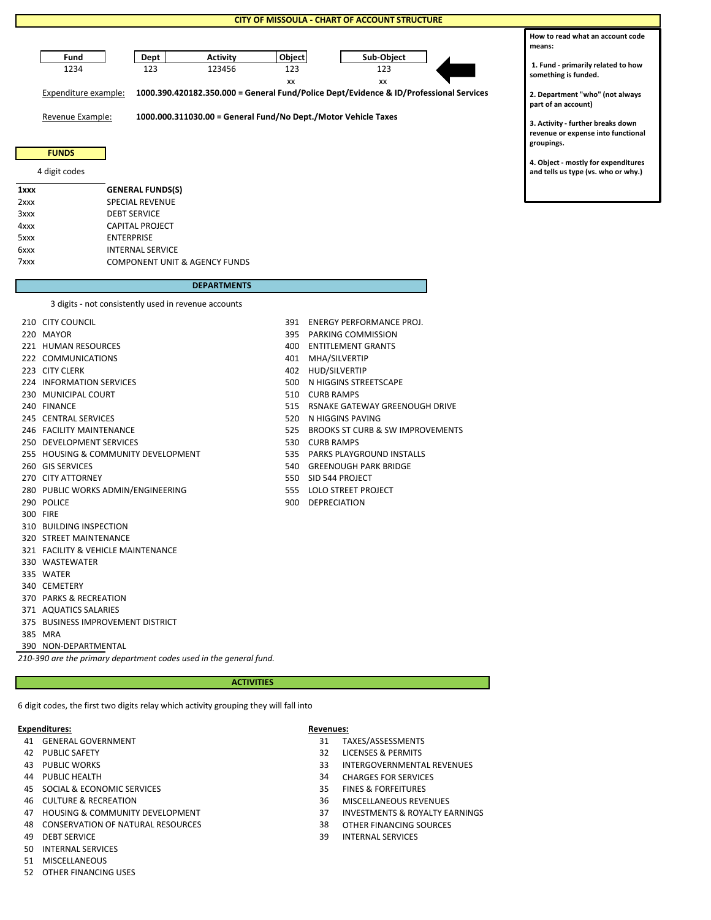### **CITY OF MISSOULA - CHART OF ACCOUNT STRUCTURE**



Revenue Example: **1000.000.311030.00 = General Fund/No Dept./Motor Vehicle Taxes**

## **FUNDS**

### 4 digit codes

| 1xxx | <b>GENERAL FUNDS(S)</b>                  |
|------|------------------------------------------|
| 2xxx | <b>SPECIAL REVENUE</b>                   |
| 3xxx | <b>DEBT SERVICE</b>                      |
| 4xxx | <b>CAPITAL PROJECT</b>                   |
| 5xxx | <b>ENTERPRISE</b>                        |
| 6xxx | <b>INTERNAL SERVICE</b>                  |
| 7xxx | <b>COMPONENT UNIT &amp; AGENCY FUNDS</b> |

### **DEPARTMENTS**

3 digits - not consistently used in revenue accounts

| 3 digits - not consistently used in revenue accounts |     |                       |
|------------------------------------------------------|-----|-----------------------|
| 210 CITY COUNCIL                                     | 391 | <b>ENERGY PERFOR</b>  |
| 220 MAYOR                                            | 395 | PARKING COMM          |
| 221 HUMAN RESOURCES                                  | 400 | <b>ENTITLEMENT GI</b> |
| 222 COMMUNICATIONS                                   | 401 | MHA/SILVERTIP         |
| 223 CITY CLERK                                       | 402 | HUD/SILVERTIP         |
| 224 INFORMATION SERVICES                             | 500 | N HIGGINS STREI       |
| 230 MUNICIPAL COURT                                  | 510 | <b>CURB RAMPS</b>     |
| 240 FINANCE                                          | 515 | <b>RSNAKE GATEW/</b>  |
| 245 CENTRAL SERVICES                                 | 520 | N HIGGINS PAVII       |
| 246 FACILITY MAINTENANCE                             | 525 | <b>BROOKS ST CURE</b> |
| 250 DEVELOPMENT SERVICES                             | 530 | <b>CURB RAMPS</b>     |
| 255 HOUSING & COMMUNITY DEVELOPMENT                  | 535 | <b>PARKS PLAYGRO</b>  |
| 260 GIS SERVICES                                     | 540 | <b>GREENOUGH PA</b>   |
| 270 CITY ATTORNEY                                    | 550 | SID 544 PROJECT       |
| 280 PUBLIC WORKS ADMIN/ENGINEERING                   |     | 555 LOLO STREET PR    |
| 290 POLICE                                           | 900 | DEPRECIATION          |
| 300 FIRE                                             |     |                       |
| 310 BUILDING INSPECTION                              |     |                       |
| 320 STREET MAINTENANCE                               |     |                       |
| 321 FACILITY & VEHICLE MAINTENANCE                   |     |                       |
| 330 WASTEWATER                                       |     |                       |
| 335 WATER                                            |     |                       |
| 340 CEMETERY                                         |     |                       |
| 370 PARKS & RECREATION                               |     |                       |
| 371 AQUATICS SALARIES                                |     |                       |
| 375 BUSINESS IMPROVEMENT DISTRICT                    |     |                       |
| 385 MRA                                              |     |                       |
| 390 NON-DEPARTMENTAL                                 |     |                       |

*210-390 are the primary department codes used in the general fund.*

#### **ACTIVITIES**

6 digit codes, the first two digits relay which activity grouping they will fall into

#### **Expenditures: Revenues:**

- 41 GENERAL GOVERNMENT
- 42 PUBLIC SAFETY
- 
- 44 PUBLIC HEALTH
- 45 SOCIAL & ECONOMIC SERVICES
- 46 CULTURE & RECREATION
- 
- 48 CONSERVATION OF NATURAL RESOURCES 38 OTHER FINANCING SOURCES
- 
- 50 INTERNAL SERVICES
- 51 MISCELLANEOUS
- 52 OTHER FINANCING USES
- 
- 3Y PERFORMANCE PROJ. **NG COMMISSION** LEMENT GRANTS
	-
	-
	-
	- GINS STREETSCAPE
	-
	- KE GATEWAY GREENOUGH DRIVE
	- **GINS PAVING**
	- KS ST CURB & SW IMPROVEMENTS<br>RAMPS
	-
	- PLAYGROUND INSTALLS
	- **VOUGH PARK BRIDGE**
	-
	- STREET PROJECT
	-

| 31                                                                                                                                                                                 | TAXES/ASSESSMENTS                         |
|------------------------------------------------------------------------------------------------------------------------------------------------------------------------------------|-------------------------------------------|
| 32                                                                                                                                                                                 | LICENSES & PERMITS                        |
| 33.                                                                                                                                                                                | <b>INTERGOVERNMENTAL REVENUES</b>         |
| 34                                                                                                                                                                                 | <b>CHARGES FOR SERVICES</b>               |
| 35.                                                                                                                                                                                | <b>FINES &amp; FORFEITURES</b>            |
| 36                                                                                                                                                                                 | <b>MISCELLANEOUS REVENUES</b>             |
| 37                                                                                                                                                                                 | <b>INVESTMENTS &amp; ROYALTY EARNINGS</b> |
| 41 GENERAL GOVERNMENT<br>42 PUBLIC SAFETY<br>43 PUBLIC WORKS<br>44 PUBLIC HEALTH<br>45 SOCIAL & ECONOMIC SERVICES<br>46 CULTURE & RECREATION<br>47 HOUSING & COMMUNITY DEVELOPMENT |                                           |

- 
- 49 DEBT SERVICE 39 INTERNAL SERVICES

**How to read what an account code means: 1. Fund - primarily related to how** 

**something is funded.**

**2. Department "who" (not always part of an account)**

**3. Activity - further breaks down revenue or expense into functional groupings.**

**4. Object - mostly for expenditures and tells us type (vs. who or why.)**